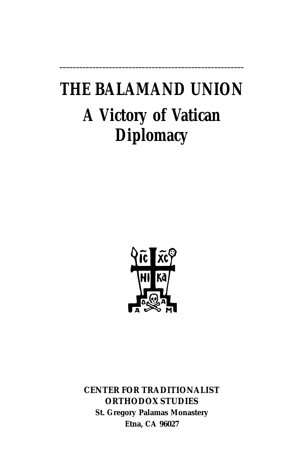# **THE BALAMAND UNION A Victory of Vatican Diplomacy**

**\_\_\_\_\_\_\_\_\_\_\_\_\_\_\_\_\_\_\_\_\_\_\_\_\_\_\_\_\_\_\_\_\_\_\_\_\_\_\_\_\_\_\_\_\_\_\_\_\_\_\_\_\_\_\_\_**



**CENTER FOR TRADITIONALIST ORTHODOX STUDIES St. Gregory Palamas Monastery Etna, CA 96027**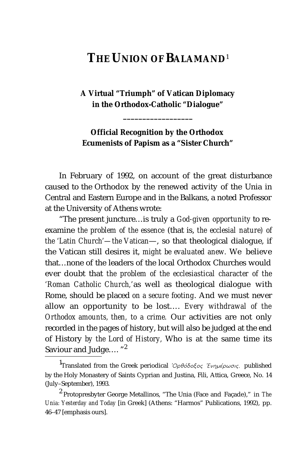# **THE UNION OF BALAMAND**<sup>1</sup>

**A Virtual "Triumph" of Vatican Diplomacy in the Orthodox-Catholic "Dialogue"**

**\_\_\_\_\_\_\_\_\_\_\_\_\_\_\_\_\_\_**

**Official Recognition by the Orthodox Ecumenists of Papism as a "Sister Church"**

In February of 1992, on account of the great disturbance caused to the Orthodox by the renewed activity of the Unia in Central and Eastern Europe and in the Balkans, a noted Professor at the University of Athens wrote:

"The present juncture…is truly a *God-given opportunity* to reexamine *the problem of the essence* (that is, *the ecclesial nature) of the 'Latin Church'—the Vatican*—, so that theological dialogue, if the Vatican still desires it, *might be evaluated anew.* We believe that…none of the leaders of the local Orthodox Churches would ever doubt that *the problem of the ecclesiastical character of the 'Roman Catholic Church,'*as well as theological dialogue with Rome, should be placed *on a secure footing*. And we must never allow an opportunity to be lost…. *Every withdrawal of the Orthodox amounts, then, to a crime.* Our activities are not only recorded in the pages of history, but will also be judged at the end of History *by the Lord of History,* Who is at the same time its Saviour and Judge....<sup>"2</sup>

<sup>1&</sup>lt;sub>Translated from the Greek periodical *Όρθόδοξος Ένημέρωσις*, published</sub> by the Holy Monastery of Saints Cyprian and Justina, Fili, Attica, Greece, No. 14 (July–September), 1993.

<sup>2</sup> Protopresbyter George Metallinos, "The Unia (Face and Façade)," in *The Unia: Yesterday and Today* [in Greek] (Athens: "Harmos" Publications, 1992), pp. 46–47 [emphasis ours].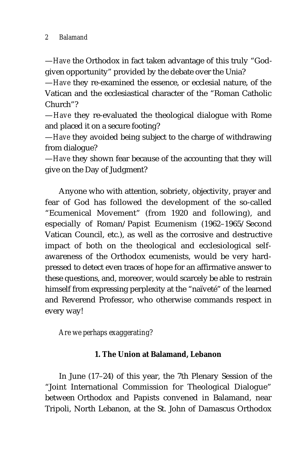—*Have* the Orthodox in fact taken advantage of this truly "Godgiven opportunity" provided by the debate over the Unia?

—*Have* they re-examined the essence, or ecclesial nature, of the Vatican and the ecclesiastical character of the "Roman Catholic Church"?

—*Have* they re-evaluated the theological dialogue with Rome and placed it on a secure footing?

—*Have* they avoided being subject to the charge of withdrawing from dialogue?

—*Have* they shown fear because of the accounting that they will give on the Day of Judgment?

Anyone who with attention, sobriety, objectivity, prayer and fear of God has followed the development of the so-called "Ecumenical Movement" (from 1920 and following), and especially of Roman/Papist Ecumenism (1962–1965/Second Vatican Council, etc.), as well as the corrosive and destructive impact of both on the theological and ecclesiological selfawareness of the Orthodox ecumenists, would be very hardpressed to detect even traces of hope for an affirmative answer to these questions, and, moreover, would scarcely be able to restrain himself from expressing perplexity at the "naïveté" of the learned and Reverend Professor, who otherwise commands respect in every way!

*Are we perhaps exaggerating?*

#### **1. The Union at Balamand, Lebanon**

In June (17–24) of this year, the 7th Plenary Session of the "Joint International Commission for Theological Dialogue" between Orthodox and Papists convened in Balamand, near Tripoli, North Lebanon, at the St. John of Damascus Orthodox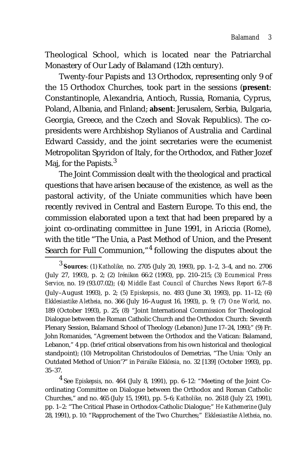Theological School, which is located near the Patriarchal Monastery of Our Lady of Balamand (12th century).

Twenty-four Papists and 13 Orthodox, representing only 9 of the 15 Orthodox Churches, took part in the sessions (**present**: Constantinople, Alexandria, Antioch, Russia, Romania, Cyprus, Poland, Albania, and Finland; **absent**: Jerusalem, Serbia, Bulgaria, Georgia, Greece, and the Czech and Slovak Republics). The copresidents were Archbishop Stylianos of Australia and Cardinal Edward Cassidy, and the joint secretaries were the ecumenist Metropolitan Spyridon of Italy, for the Orthodox, and Father Jozef Maj, for the Papists.<sup>3</sup>

The Joint Commission dealt with the theological and practical questions that have arisen because of the existence, as well as the pastoral activity, of the Uniate communities which have been recently revived in Central and Eastern Europe. To this end, the commission elaborated upon a text that had been prepared by a joint co-ordinating committee in June 1991, in Ariccia (Rome), with the title "The Unia, a Past Method of Union, and the Present Search for Full Communion,"<sup>4</sup> following the disputes about the

<sup>3</sup> **Sources**: (1) *Katholike,* no. 2705 (July 20, 1993), pp. 1–2, 3–4, and no. 2706 (July 27, 1993), p. 2; (2) *Irénikon* 66:2 (1993), pp. 210–215; (3) *Ecumenical Press Service,* no. 19 (93.07.02); (4) *Middle East Council of Churches News Report* 6:7–8 (July–August 1993), p. 2; (5) *Episkepsis,* no. 493 (June 30, 1993), pp. 11–12; (6) *Ekklesiastike Aletheia,* no. 366 (July 16–August 16, 1993), p. 9; (7) *One World*, no. 189 (October 1993), p. 25; (8) "Joint International Commission for Theological Dialogue between the Roman Catholic Church and the Orthodox Church: Seventh Plenary Session, Balamand School of Theology (Lebanon) June 17–24, 1993;" (9) Fr. John Romanides, "Agreement between the Orthodox and the Vatican: Balamand, Lebanon," 4 pp. (brief critical observations from his own historical and theological standpoint); (10) Metropolitan Christodoulos of Demetrias, "The Unia: 'Only an Outdated Method of Union'?" in *Peiraïke Ekklesia,* no. 32 [139] (October 1993), pp. 35–37.

<sup>4</sup> See *Episkepsis*, no. 464 (July 8, 1991), pp. 6–12: "Meeting of the Joint Coordinating Committee on Dialogue between the Orthodox and Roman Catholic Churches," and no. 465 (July 15, 1991), pp. 5–6; *Katholike,* no. 2618 (July 23, 1991), pp. 1–2: "The Critical Phase in Orthodox-Catholic Dialogue;" *He Kathemerine* (July 28, 1991), p. 10: "Rapprochement of the Two Churches;" *Ekklesiastike Aletheia*, no.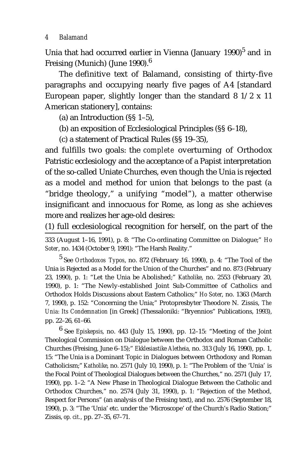Unia that had occurred earlier in Vienna (January 1990)<sup>5</sup> and in Freising (Munich) (June 1990). $^6$ 

The definitive text of Balamand, consisting of thirty-five paragraphs and occupying nearly five pages of A4 [standard European paper, slightly longer than the standard 8 1/2 x 11 American stationery], contains:

(a) an Introduction (§§ 1–5),

(b) an exposition of Ecclesiological Principles (§§ 6–18),

(c) a statement of Practical Rules (§§ 19–35),

and fulfills two goals: the *complete* overturning of Orthodox Patristic ecclesiology and the acceptance of a Papist interpretation of the so-called Uniate Churches, even though the Unia is rejected as a model and method for union that belongs to the past (a "bridge theology," a unifying "model"), a matter otherwise insignificant and innocuous for Rome, as long as she achieves more and realizes her age-old desires:

(1) full ecclesiological recognition for herself, on the part of the

333 (August 1–16, 1991), p. 8: "The Co-ordinating Committee on Dialogue;" *Ho Soter*, no. 1434 (October 9, 1991): "The Harsh Reality."

5 See *Orthodoxos Typos*, no. 872 (February 16, 1990), p. 4: "The Tool of the Unia is Rejected as a Model for the Union of the Churches" and no. 873 (February 23, 1990), p. 1: "Let the Unia be Abolished;" *Katholike*, no. 2553 (February 20, 1990), p. 1: "The Newly-established Joint Sub-Committee of Catholics and Orthodox Holds Discussions about Eastern Catholics;" *Ho Soter*, no. 1363 (March 7, 1990), p. 152: "Concerning the Unia;" Protopresbyter Theodore N. Zissis, *The Unia: Its Condemnation* [in Greek] (Thessaloniki: "Bryennios" Publications, 1993), pp. 22–26, 61–66.

6 See *Episkepsis*, no. 443 (July 15, 1990), pp. 12–15: "Meeting of the Joint Theological Commission on Dialogue between the Orthodox and Roman Catholic Churches (Freising, June 6–15);" *Ekklesiastike Aletheia,* no. 313 (July 16, 1990), pp. 1, 15: "The Unia is a Dominant Topic in Dialogues between Orthodoxy and Roman Catholicism;" *Katholike*, no. 2571 (July 10, 1990), p. 1: "The Problem of the 'Unia' is the Focal Point of Theological Dialogues between the Churches," no. 2571 (July 17, 1990), pp. 1–2: "A New Phase in Theological Dialogue Between the Catholic and Orthodox Churches," no. 2574 (July 31, 1990), p. 1: "Rejection of the Method, Respect for Persons" (an analysis of the Freising text), and no. 2576 (September 18, 1990), p. 3: "The 'Unia' etc. under the 'Microscope' of the Church's Radio Station;" Zissis, *op. cit.,* pp. 27–35, 67–71.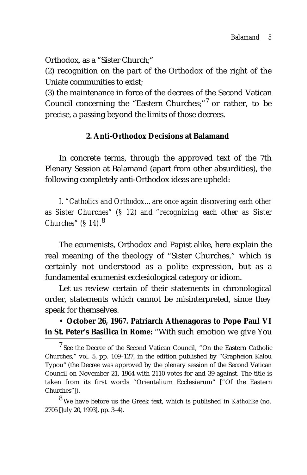Orthodox, as a "Sister Church;"

(2) recognition on the part of the Orthodox of the right of the Uniate communities to exist;

(3) the maintenance in force of the decrees of the Second Vatican Council concerning the "Eastern Churches;"<sup>7</sup> or rather, to be precise, a passing beyond the limits of those decrees.

#### **2. Anti-Orthodox Decisions at Balamand**

In concrete terms, through the approved text of the 7th Plenary Session at Balamand (apart from other absurdities), the following completely anti-Orthodox ideas are upheld:

*I. "Catholics and Orthodox…are once again discovering each other as Sister Churches" (§ 12) and "recognizing each other as Sister Churches" (§ 14)*. 8

The ecumenists, Orthodox and Papist alike, here explain the real meaning of the theology of "Sister Churches," which is certainly not understood as a polite expression, but as a fundamental ecumenist ecclesiological category or idiom.

Let us review certain of their statements in chronological order, statements which cannot be misinterpreted, since they speak for themselves.

# • **October 26, 1967. Patriarch Athenagoras to Pope Paul VI in St. Peter's Basilica in Rome:** "With such emotion we give You

<sup>7</sup> See the Decree of the Second Vatican Council, "On the Eastern Catholic Churches," vol. 5, pp. 109–127, in the edition published by "Grapheion Kalou Typou" (the Decree was approved by the plenary session of the Second Vatican Council on November 21, 1964 with 2110 votes for and 39 against. The title is taken from its first words "Orientalium Ecclesiarum" ["Of the Eastern Churches"]).

8 We have before us the Greek text, which is published in *Katholike* (no. 2705 [July 20, 1993], pp. 3–4).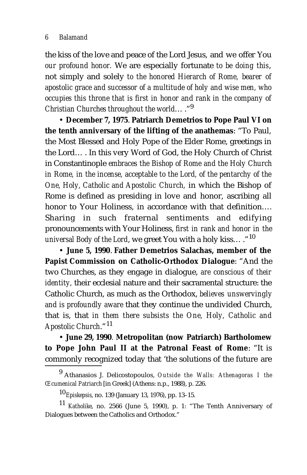the kiss of the love and peace of the Lord Jesus, and we offer You *our profound honor.* We are especially fortunate *to be doing this*, not simply and solely *to the honored Hierarch of Rome, bearer of apostolic grace and successor of a multitude of holy and wise men, who occupies this throne that is first in honor and rank in the company of Christian Churches throughout the world*… ."9

• **December 7, 1975**. **Patriarch Demetrios to Pope Paul VI on the tenth anniversary of the lifting of the anathemas**: "To Paul, the Most Blessed and Holy Pope of the Elder Rome, greetings in the Lord… . In this very Word of God, the Holy Church of Christ in Constantinople *embraces the Bishop of Rome and the Holy Church in Rome, in the incense, acceptable to the Lord, of the pentarchy of the One, Holy, Catholic and Apostolic Church,* in which the Bishop of Rome is defined as presiding in love and honor, ascribing all honor to Your Holiness, in accordance with that definition…. Sharing in such fraternal sentiments and edifying pronouncements with Your Holiness, *first in rank and honor in the universal Body of the Lord*, we greet You with a holy kiss… ."<sup>10</sup>

• **June 5, 1990**. **Father Demetrios Salachas, member of the Papist Commission on Catholic-Orthodox Dialogue**: "And the two Churches, as they engage in dialogue, *are conscious of their identity,* their ecclesial nature and their sacramental structure: the Catholic Church, as much as the Orthodox, *believes unswervingly and is profoundly aware* that they continue the undivided Church, that is, that *in them there subsists the One, Holy, Catholic and Apostolic Church*."<sup>11</sup>

• **June 29, 1990***.* **Metropolitan (now Patriarch) Bartholomew to Pope John Paul II at the Patronal Feast of Rome**: "It is commonly recognized today that 'the solutions of the future are

<sup>9</sup> Athanasios J. Delicostopoulos, *Outside the Walls: Athenagoras I the Œcumenical Patriarch* [in Greek] (Athens: n.p., 1988), p. 226.

<sup>10</sup>*Episkepsis*, no. 139 (January 13, 1976), pp. 13–15.

<sup>11</sup> *Katholike*, no. 2566 (June 5, 1990), p. 1: "The Tenth Anniversary of Dialogues between the Catholics and Orthodox."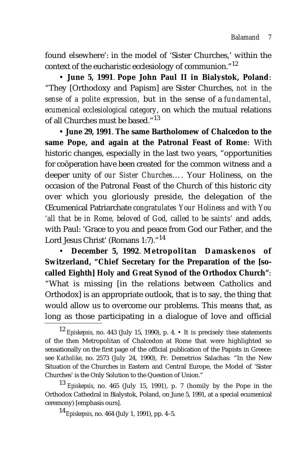found elsewhere': in the model of 'Sister Churches,' within the context of the eucharistic ecclesiology of communion."12

• **June 5, 1991***.* **Pope John Paul II in Bialystok, Poland**: "They [Orthodoxy and Papism] are Sister Churches, *not in the sense of a polite expression,* but in the sense of a *fundamental, ecumenical ecclesiological category*, on which the mutual relations of all Churches must be based."13

• **June 29, 1991**. **The same Bartholomew of Chalcedon to the same Pope, and again at the Patronal Feast of Rome**: With historic changes, especially in the last two years, "opportunities for coöperation have been created for the common witness and a deeper unity of *our Sister Churches*…. Your Holiness, on the occasion of the Patronal Feast of the Church of this historic city over which you gloriously preside, the delegation of the Œcumenical Patriarchate *congratulates Your Holiness and with You 'all that be in Rome, beloved of God, called to be saints'* and adds, with Paul: 'Grace to you and peace from God our Father, and the Lord Jesus Christ' (Romans 1:7)."<sup>14</sup>

• **December 5, 1992**. **Metropolitan Damaskenos of Switzerland, "Chief Secretary for the Preparation of the [socalled Eighth] Holy and Great Synod of the Orthodox Church"**: "What is missing [in the relations between Catholics and Orthodox] is an appropriate outlook, that is to say, the thing that would allow us to overcome our problems. This means that, as long as those participating in a dialogue of love and official

<sup>13</sup> *Episkepsis*, no. 465 (July 15, 1991), p. 7 (homily by the Pope in the Orthodox Cathedral in Bialystok, Poland, on June 5, 1991, at a special ecumenical ceremony) [emphasis ours].

<sup>14</sup>*Episkepsis*, no. 464 (July 1, 1991), pp. 4–5.

<sup>12</sup> *Episkepsis*, no. 443 (July 15, 1990), p. 4. • It is precisely *these* statements of the then Metropolitan of Chalcedon at Rome that were highlighted so sensationally on the first page of the official publication of the Papists in Greece: see *Katholike,* no. 2573 (July 24, 1990), Fr. Demetrios Salachas: "In the New Situation of the Churches in Eastern and Central Europe, the Model of 'Sister Churches' is the Only Solution to the Question of Union."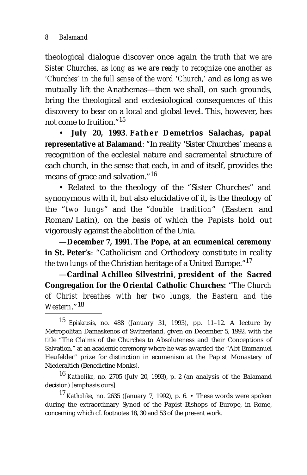theological dialogue discover once again *the truth that we are Sister Churches, as long as we are ready to recognize one another as 'Churches' in the full sense of the word 'Church,'* and as long as we mutually lift the Anathemas—then we shall, on such grounds, bring the theological and ecclesiological consequences of this discovery to bear on a local and global level. This, however, has not come to fruition."15

• **July 20, 1993**. **F a t h e r Demetrios Salachas, papal representative at Balamand**: "In reality 'Sister Churches' means a recognition of the ecclesial nature and sacramental structure of each church, in the sense that each, in and of itself, provides the means of grace and salvation."<sup>16</sup>

• Related to the theology of the "Sister Churches" and synonymous with it, but also elucidative of it, is the theology of the "*two lungs*" and the "*double tradition*" (Eastern and Roman/Latin), on the basis of which the Papists hold out vigorously against the abolition of the Unia.

—**December 7, 1991**. **The Pope, at an ecumenical ceremony in St. Peter's**: "Catholicism and Orthodoxy constitute in reality *the two lungs* of the Christian heritage of a United Europe."17

—**Cardinal Achilleo Silvestrini**, **president of the Sacred Congregation for the Oriental Catholic Churches:** "*The Church of Christ breathes with her two lungs, the Eastern and the Western*."<sup>18</sup>

<sup>16</sup> *Katholike,* no. 2705 (July 20, 1993), p. 2 (an analysis of the Balamand decision) [emphasis ours].

<sup>17</sup> *Katholike,* no. 2635 (January 7, 1992), p. 6. • These words were spoken during the extraordinary Synod of the Papist Bishops of Europe, in Rome, concerning which cf. footnotes 18, 30 and 53 of the present work.

<sup>15</sup> *Episkepsis*, no. 488 (January 31, 1993), pp. 11–12. A lecture by Metropolitan Damaskenos of Switzerland, given on December 5, 1992, with the title "The Claims of the Churches to Absoluteness and their Conceptions of Salvation," at an academic ceremony where he was awarded the "Abt Emmanuel Heufelder" prize for distinction in ecumenism at the Papist Monastery of Niederaltich (Benedictine Monks).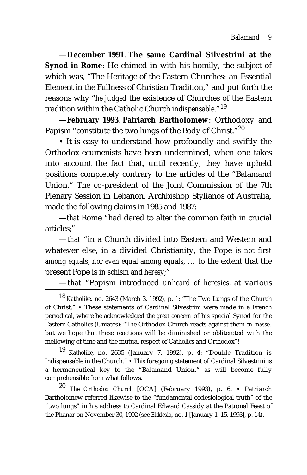—**December 1991**. **The same Cardinal Silvestrini at the Synod in Rome**: He chimed in with his homily, the subject of which was, "The Heritage of the Eastern Churches: an Essential Element in the Fullness of Christian Tradition," and put forth the reasons why "*he judged* the existence of Churches of the Eastern tradition within the Catholic Church *indispensable*."<sup>19</sup>

—**February 1993**. **Patriarch Bartholomew**: Orthodoxy and Papism "constitute the two lungs of the Body of Christ."<sup>20</sup>

• It is easy to understand how profoundly and swiftly the Orthodox ecumenists have been undermined, when one takes into account the fact that, until recently, they have upheld positions completely contrary to the articles of the "Balamand Union." The co-president of the Joint Commission of the 7th Plenary Session in Lebanon, Archbishop Stylianos of Australia, made the following claims in 1985 and 1987:

—*that* Rome "had dared to alter the common faith in crucial articles;"

—*that* "in a Church divided into Eastern and Western and whatever else, in a divided Christianity, the Pope *is not first among equals, nor even equal among equals,* … to the extent that the present Pope is *in schism and heresy;*"

—*that* "Papism introduced *unheard of heresies,* at various

<sup>18</sup> *Katholike,* no. 2643 (March 3, 1992), p. 1: "The Two Lungs of the Church of Christ." • These statements of Cardinal Silvestrini were made in a French periodical, where he acknowledged the *great concern* of his special Synod for the Eastern Catholics (Uniates): "The Orthodox Church reacts against them *en masse,* but we hope that these reactions will be diminished or obliterated with the mellowing of time and the mutual respect of Catholics and Orthodox"!

<sup>19</sup> *Katholike*, no. 2635 (January 7, 1992), p. 4: "Double Tradition is Indispensable in the Church." • *This* foregoing statement of Cardinal Silvestrini is a hermeneutical key to the "Balamand Union," as will become fully comprehensible from what follows.

<sup>20</sup> *The Orthodox Church* [OCA] (February 1993), p. 6. • Patriarch Bartholomew referred likewise to the "fundamental ecclesiological truth" of the "two lungs" in his address to Cardinal Edward Cassidy at the Patronal Feast of the Phanar on November 30, 1992 (see *Ekklesia*, no. 1 [January 1–15, 1993], p. 14).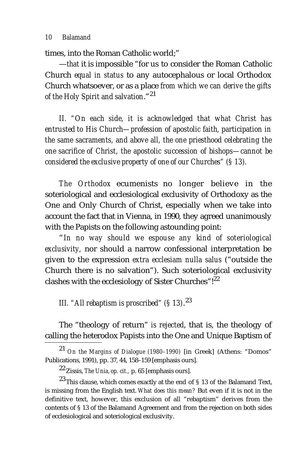times, into the Roman Catholic world;"

—*that* it is impossible "for us to consider the Roman Catholic Church *equal in status* to any autocephalous or local Orthodox Church whatsoever, or as a place *from which we can derive the gifts of the Holy Spirit and salvation*."<sup>21</sup>

*II. "On each side, it is acknowledged that what Christ has entrusted to His Church—profession of apostolic faith, participation in the same sacraments, and above all, the one priesthood celebrating the one sacrifice of Christ, the apostolic succession of bishops—cannot be considered the exclusive property of one of our Churches" (§ 13).*

*The Orthodox* ecumenists no longer believe in the soteriological and ecclesiological exclusivity of Orthodoxy as the One and Only Church of Christ, especially when we take into account the fact that in Vienna, in 1990, they agreed unanimously with the Papists on the following astounding point:

"*In no way should we espouse any kind of soteriological exclusivity,* nor should a narrow confessional interpretation be given to the expression *extra ecclesiam nulla salus* ("outside the Church there is no salvation"). Such soteriological exclusivity clashes with the ecclesiology of Sister Churches"! $^{22}$ 

*III. "All rebaptism is proscribed" (§ 13)*. 23

The "theology of return" *is rejected*, that is, the theology of calling the heterodox Papists into the One and Unique Baptism of

<sup>21</sup> *On the Margins of Dialogue (1980–1990)* [in Greek] (Athens: "Domos" Publications, 1991), pp. 37, 44, 158–159 [emphasis ours].

<sup>22</sup> Zissis, *The Unia, op. cit.,* p. 65 [emphasis ours].

<sup>23</sup> This clause, which comes exactly at the end of § 13 of the Balamand Text, is missing from the English text. *What does this mean?* But even if it is not in the definitive text, however, this exclusion of all "rebaptism" derives from the contents of § 13 of the Balamand Agreement and from the rejection on both sides of ecclesiological and soteriological exclusivity.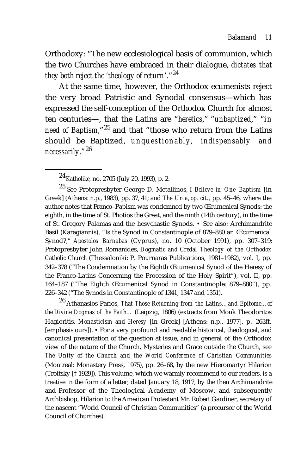Orthodoxy: "The new ecclesiological basis of communion, which the two Churches have embraced in their dialogue, *dictates that they both reject the 'theology of return*'."24

At the same time, however, the Orthodox ecumenists reject the very broad Patristic and Synodal consensus—which has expressed the self-conception of the Orthodox Church for almost ten centuries—, that the Latins are "*heretics*," "*unbaptized*," "*in need of Baptism*,"<sup>25</sup> and that "those who return from the Latins should be Baptized, *unquestionably, indispensably and necessarily*."<sup>26</sup>

25 See Protopresbyter George D. Metallinos, *I Believe in One Baptism* [in Greek] (Athens: n.p., 1983), pp. 37, 41; and *The Unia*, *op. cit.*, pp. 45–46, where the author notes that Franco–Papism was condemned by two Œcumenical Synods: the eighth, in the time of St. Photios the Great, and the ninth (14th century), in the time of St. Gregory Palamas and the hesychastic Synods. • See also: Archimandrite Basil (Karagiannis), "Is the Synod in Constantinople of 879–880 an Œcumenical Synod?," *Apostolos Barnabas* (Cyprus), no. 10 (October 1991), pp. 307–319; Protopresbyter John Romanides, *Dogmatic and Credal Theology of the Orthodox Catholic Church* (Thessaloniki: P. Pournaras Publications, 1981–1982), vol. I, pp. 342–378 ("The Condemnation by the Eighth Œcumenical Synod of the Heresy of the Franco-Latins Concerning the Procession of the Holy Spirit"), vol. II, pp. 164–187 ("The Eighth Œcumenical Synod in Constantinople: 879–880"), pp. 226–342 ("The Synods in Constantinople of 1341, 1347 and 1351).

26 Athanasios Parios, *That Those Returning from the Latins…and Epitome…of the Divine Dogmas of the Faith…* (Leipzig, 1806) (extracts from Monk Theodoritos Hagioritis, *Monasticism and Heresy* [in Greek] [Athens: n.p., 1977], p. 263ff. [emphasis ours]). • For a very profound and readable historical, theological, and canonical presentation of the question at issue, and in general of the Orthodox view of the nature of the Church, Mysteries and Grace outside the Church, see *The Unity of the Church and the World Conference of Christian Communities* (Montreal: Monastery Press, 1975), pp. 26–68, by the new Hieromartyr Hilarion (Troitsky [† 1929]). This volume, which we warmly recommend to our readers, is a treatise in the form of a letter, dated January 18, 1917, by the then Archimandrite and Professor of the Theological Academy of Moscow, and subsequently Archbishop, Hilarion to the American Protestant Mr. Robert Gardiner, secretary of the nascent "World Council of Christian Communities" (a precursor of the World Council of Churches).

<sup>24</sup>*Katholike,* no. 2705 (July 20, 1993), p. 2.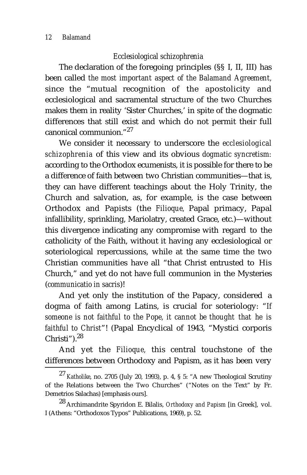#### *Ecclesiological schizophrenia*

The declaration of the foregoing principles (§§ I, II, III) has been called *the most important aspect of the Balamand Agreement,* since the "mutual recognition of the apostolicity and ecclesiological and sacramental structure of the two Churches makes them in reality 'Sister Churches,' in spite of the dogmatic differences that still exist and which do not permit their full canonical communion."27

We consider it necessary to underscore the *ecclesiological schizophrenia* of this view and its obvious *dogmatic syncretism:* according to the Orthodox ecumenists, it is possible for there to be a difference of faith between two Christian communities—that is, they can have different teachings about the Holy Trinity, the Church and salvation, as, for example, is the case between Orthodox and Papists (the *Filioque,* Papal primacy, Papal infallibility, sprinkling, Mariolatry, created Grace, etc.)—without this divergence indicating any compromise with regard to the catholicity of the Faith, without it having any ecclesiological or soteriological repercussions, while at the same time the two Christian communities have all "that Christ entrusted to His Church," and yet do not have full communion in the Mysteries (*communicatio in sacris*)!

And yet only the institution of the Papacy, considered a dogma of faith among Latins, is crucial for soteriology: "*If someone is not faithful to the Pope, it cannot be thought that he is faithful to Christ*"! (Papal Encyclical of 1943, "Mystici corporis Christi"). $28$ 

And yet the *Filioque,* this central touchstone of the differences between Orthodoxy and Papism, as it has been very

<sup>27</sup> *Katholike*, no. 2705 (July 20, 1993), p. 4, § 5: "A new Theological Scrutiny of the Relations between the Two Churches" ("Notes on the Text" by Fr. Demetrios Salachas) [emphasis ours].

<sup>28</sup> Archimandrite Spyridon E. Bilalis, *Orthodoxy and Papism* [in Greek], vol. I (Athens: "Orthodoxos Typos" Publications, 1969), p. 52.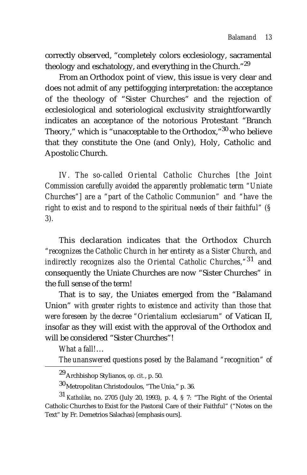correctly observed, "completely colors ecclesiology, sacramental theology and eschatology, and everything in the Church."<sup>29</sup>

From an Orthodox point of view, this issue is very clear and does not admit of any pettifogging interpretation: the acceptance of the theology of "Sister Churches" and the rejection of ecclesiological and soteriological exclusivity straightforwardly indicates an acceptance of the notorious Protestant "Branch Theory," which is "unacceptable to the Orthodox,"<sup>30</sup> who believe that they constitute the One (and Only), Holy, Catholic and Apostolic Church.

*IV. The so-called Oriental Catholic Churches [the Joint Commission carefully avoided the apparently problematic term "Uniate Churches"] are a "part of the Catholic Communion" and "have the right to exist and to respond to the spiritual needs of their faithful" (§ 3).*

This declaration indicates that the Orthodox Church *"recognizes the Catholic Church in her entirety as a Sister Church, and indirectly recognizes also the Oriental Catholic Churches,"*31 and consequently the Uniate Churches are now "Sister Churches" in the full sense of the term!

That is to say, the Uniates emerged from the "Balamand Union" *with greater rights to existence and activity than those that were foreseen by the decree "Orientalium ecclesiarum"* of Vatican II, insofar as they will exist with the approval of the Orthodox and will be considered "Sister Churches"!

*What a fall!*…

*The unanswered questions posed by the Balamand "recognition" of*

<sup>29</sup> Archbishop Stylianos, *op. cit.*, p. 50.

<sup>30</sup> Metropolitan Christodoulos, "The Unia," p. 36.

<sup>31</sup> *Katholike*, no. 2705 (July 20, 1993), p. 4, § 7: "The Right of the Oriental Catholic Churches to Exist for the Pastoral Care of their Faithful" ("Notes on the Text" by Fr. Demetrios Salachas) [emphasis ours].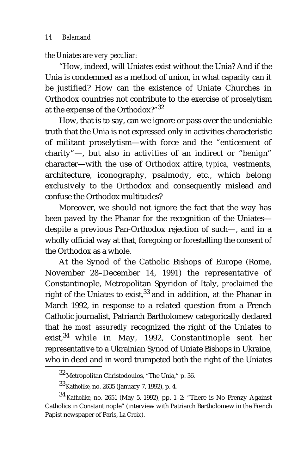#### *the Uniates are very peculiar:*

"How, indeed, will Uniates exist without the Unia? And if the Unia is condemned as a method of union, in what capacity can it be justified? How can the existence of Uniate Churches in Orthodox countries not contribute to the exercise of proselytism at the expense of the Orthodox?"32

How, that is to say, can we ignore or pass over the undeniable truth that the Unia is not expressed only in activities characteristic of militant proselytism—with force and the "enticement of charity"—, but also in activities of an indirect or "benign" character—with the use of Orthodox attire, *typica,* vestments, architecture, iconography, psalmody, etc., which belong exclusively to the Orthodox and consequently mislead and confuse the Orthodox multitudes?

Moreover, we should not ignore the fact that the way has been paved by the Phanar for the recognition of the Uniates despite a previous Pan-Orthodox rejection of such—, and in a wholly official way at that, foregoing or forestalling the consent of the Orthodox as a whole.

At the Synod of the Catholic Bishops of Europe (Rome, November 28–December 14, 1991) the representative of Constantinople, Metropolitan Spyridon of Italy, *proclaimed* the right of the Uniates to exist,  $33$  and in addition, at the Phanar in March 1992, in response to a related question from a French Catholic journalist, Patriarch Bartholomew categorically declared that he *most assuredly* recognized the right of the Uniates to exist,<sup>34</sup> while in May, 1992, Constantinople sent her representative to a Ukrainian Synod of Uniate Bishops in Ukraine, who in deed and in word trumpeted both the right of the Uniates

<sup>32</sup> Metropolitan Christodoulos, "The Unia," p. 36.

<sup>33</sup>*Katholike*, no. 2635 (January 7, 1992), p. 4.

<sup>34</sup> *Katholike*, no. 2651 (May 5, 1992), pp. 1–2: "There is No Frenzy Against Catholics in Constantinople" (interview with Patriarch Bartholomew in the French Papist newspaper of Paris, *La Croix*).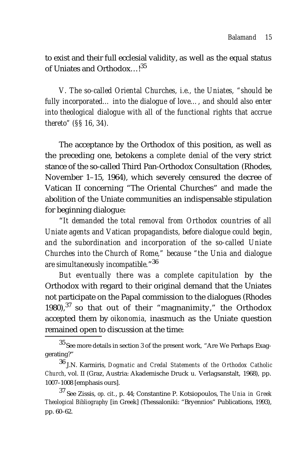to exist and their full ecclesial validity, as well as the equal status of Uniates and Orthodox...!<sup>35</sup>

*V. The so-called Oriental Churches, i.e., the Uniates, "should be fully incorporated… into the dialogue of love…, and should also enter into theological dialogue with all of the functional rights that accrue thereto" (§§ 16, 34).*

The acceptance by the Orthodox of this position, as well as the preceding one, betokens a *complete denial* of the very strict stance of the so-called Third Pan-Orthodox Consultation (Rhodes, November 1–15, 1964), which severely censured the decree of Vatican II concerning "The Oriental Churches" and made the abolition of the Uniate communities an indispensable stipulation for beginning dialogue:

"*It demanded the total removal from Orthodox countries of all Uniate agents and Vatican propagandists, before dialogue could begin, and the subordination and incorporation of the so-called Uniate Churches into the Church of Rome," because "the Unia and dialogue are simultaneously incompatible.*"36

*But eventually there was a complete capitulation* by the Orthodox with regard to their original demand that the Uniates not participate on the Papal commission to the dialogues (Rhodes 1980), $37$  so that out of their "magnanimity," the Orthodox accepted them by *oikonomia,* inasmuch as the Uniate question remained open to discussion at the time:

<sup>35</sup> See more details in section 3 of the present work, "Are We Perhaps Exaggerating?"

<sup>36</sup> J.N. Karmiris, *Dogmatic and Credal Statements of the Orthodox Catholic Church*, vol. II (Graz, Austria: Akademische Druck u. Verlagsanstalt, 1968), pp. 1007–1008 [emphasis ours].

<sup>37</sup> See Zissis, *op. cit.*, p. 44; Constantine P. Kotsiopoulos, *The Unia in Greek Theological Bibliography* [in Greek] (Thessaloniki: "Bryennios" Publications, 1993), pp. 60–62.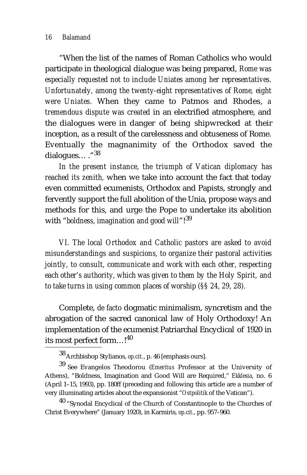"When the list of the names of Roman Catholics who would participate in theological dialogue was being prepared, *Rome was especially requested not to include Uniates among her representatives. Unfortunately, among the twenty-eight representatives of Rome, eight were Uniates.* When they came to Patmos and Rhodes, *a tremendous dispute was created* in an electrified atmosphere, and the dialogues were in danger of being shipwrecked at their inception, as a result of the carelessness and obtuseness of Rome. Eventually the magnanimity of the Orthodox saved the dialogues… ."38

*In the present instance, the triumph of Vatican diplomacy has reached its zenith,* when we take into account the fact that today even committed ecumenists, Orthodox and Papists, strongly and fervently support the full abolition of the Unia, propose ways and methods for this, and urge the Pope to undertake its abolition with "*boldness, imagination and good will*"!<sup>39</sup>

*VI. The local Orthodox and Catholic pastors are asked to avoid misunderstandings and suspicions, to organize their pastoral activities jointly, to consult, communicate and work with each other, respecting each other's authority, which was given to them by the Holy Spirit, and to take turns in using common places of worship (§§ 24, 29, 28).*

Complete, *de facto* dogmatic minimalism, syncretism and the abrogation of the sacred canonical law of Holy Orthodoxy! An implementation of the ecumenist Patriarchal Encyclical of 1920 in its most perfect form…!<sup>40</sup>

<sup>38</sup> Archbishop Stylianos, *op.cit.*, p. 46 [emphasis ours].

<sup>39</sup> See Evangelos Theodorou (*Emeritus* Professor at the University of Athens), "Boldness, Imagination and Good Will are Required," *Ekklesia*, no. 6 (April 1–15, 1993), pp. 180ff (preceding and following this article are a number of very illuminating articles about the expansionist "*Ostpolitik* of the Vatican").

<sup>40 &</sup>quot;Synodal Encyclical of the Church of Constantinople to the Churches of Christ Everywhere" (January 1920), in Karmiris, *op.cit.*, pp. 957–960.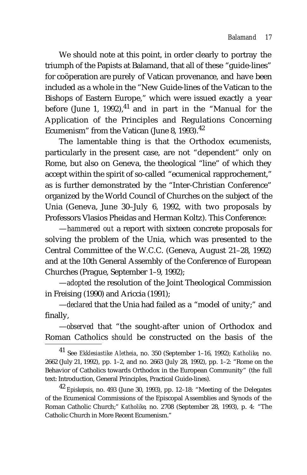We should note at this point, in order clearly to portray the triumph of the Papists at Balamand, that all of these "guide-lines" for coöperation are purely of Vatican provenance, and have been included as a whole in the "New Guide-lines of the Vatican to the Bishops of Eastern Europe," which were issued exactly a year before (June 1, 1992),  $41$  and in part in the "Manual for the Application of the Principles and Regulations Concerning Ecumenism" from the Vatican (June 8, 1993). $42$ 

The lamentable thing is that the Orthodox ecumenists, particularly in the present case, are not "dependent" only on Rome, but also on Geneva, the theological "line" of which they accept within the spirit of so-called "ecumenical rapprochement," as is further demonstrated by the "Inter-Christian Conference" organized by the World Council of Churches on the subject of the Unia (Geneva, June 30–July 6, 1992, with two proposals by Professors Vlasios Pheidas and Herman Koltz). This Conference:

—*hammered out* a report with sixteen concrete proposals for solving the problem of the Unia, which was presented to the Central Committee of the W.C.C. (Geneva, August 21–28, 1992) and at the 10th General Assembly of the Conference of European Churches (Prague, September 1–9, 1992);

—*adopted* the resolution of the Joint Theological Commission in Freising (1990) and Ariccia (1991);

—*declared* that the Unia had failed as a "model of unity;" and finally,

—*observed* that "the sought-after union of Orthodox and Roman Catholics *should* be constructed on the basis of the

41 See *Ekklesiastike Aletheia*, no. 350 (September 1–16, 1992); *Katholike*, no. 2662 (July 21, 1992), pp. 1–2, and no. 2663 (July 28, 1992), pp. 1–2: "Rome on the Behavior of Catholics towards Orthodox in the European Community" (the full text: Introduction, General Principles, Practical Guide-lines).

<sup>42</sup> *Episkepsis*, no. 493 (June 30, 1993), pp. 12–18: "Meeting of the Delegates of the Ecumenical Commissions of the Episcopal Assemblies and Synods of the Roman Catholic Church;" *Katholike*, no. 2708 (September 28, 1993), p. 4: "The Catholic Church in More Recent Ecumenism."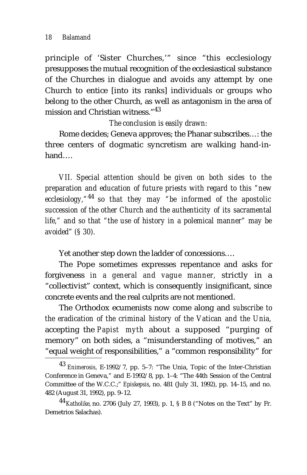principle of 'Sister Churches,'" since "this ecclesiology presupposes the mutual recognition of the ecclesiastical substance of the Churches in dialogue and avoids any attempt by one Church to entice [into its ranks] individuals or groups who belong to the other Church, as well as antagonism in the area of mission and Christian witness."<sup>43</sup>

*The conclusion is easily drawn:*

Rome decides; Geneva approves; the Phanar subscribes…: the three centers of dogmatic syncretism are walking hand-inhand….

*VII. Special attention should be given on both sides to the preparation and education of future priests with regard to this "new ecclesiology,"*44 *so that they may "be informed of the apostolic succession of the other Church and the authenticity of its sacramental life," and so that "the use of history in a polemical manner" may be avoided" (§ 30).*

Yet another step down the ladder of concessions….

The Pope sometimes expresses repentance and asks for forgiveness *in a general and vague manner,* strictly in a "collectivist" context, which is consequently insignificant, since concrete events and the real culprits are not mentioned.

The Orthodox ecumenists now come along and *subscribe to the eradication of the criminal history of the Vatican and the Unia,* accepting the *Papist myth* about a supposed "purging of memory" on both sides, a "misunderstanding of motives," an "equal weight of responsibilities," a "common responsibility" for

<sup>43</sup> *Enimerosis*, E-1992/7, pp. 5–7: "The Unia, Topic of the Inter-Christian Conference in Geneva," and E-1992/8, pp. 1–4: "The 44th Session of the Central Committee of the W.C.C.;" *Episkepsis*, no. 481 (July 31, 1992), pp. 14–15, and no. 482 (August 31, 1992), pp. 9–12.

<sup>44</sup>*Katholike*, no. 2706 (July 27, 1993), p. 1, § B 8 ("Notes on the Text" by Fr. Demetrios Salachas).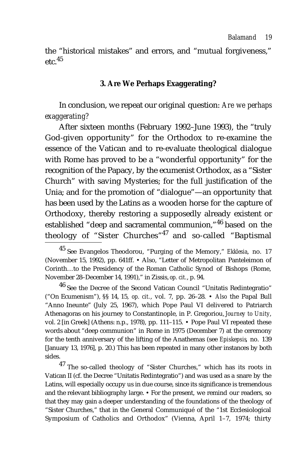the "historical mistakes" and errors, and "mutual forgiveness,"  $etc.$ <sup>45</sup>

#### **3. Are We Perhaps Exaggerating?**

In conclusion, we repeat our original question: *Are we perhaps exaggerating?*

After sixteen months (February 1992–June 1993), the "truly God-given opportunity" for the Orthodox to re-examine the essence of the Vatican and to re-evaluate theological dialogue with Rome has proved to be a "wonderful opportunity" for the recognition of the Papacy, by the ecumenist Orthodox, as a "Sister Church" with saving Mysteries; for the full justification of the Unia; and for the promotion of "dialogue"—an opportunity that has been used by the Latins as a wooden horse for the capture of Orthodoxy, thereby restoring a supposedly already existent or established "deep and sacramental communion,"46 based on the theology of "Sister Churches" $47$  and so-called "Baptismal

46 See the Decree of the Second Vatican Council "Unitatis Redintegratio" ("On Ecumenism"), §§ 14, 15, *op. cit.*, vol. 7, pp. 26–28. • *Also* the Papal Bull "Anno Ineunte" (July 25, 1967), which Pope Paul VI delivered to Patriarch Athenagoras on his journey to Constantinople, in P. Gregoriou, *Journey to Unity*, vol. 2 [in Greek] (Athens: n.p., 1978), pp. 111–115. • Pope Paul VI repeated these words about "deep communion" in Rome in 1975 (December 7) at the ceremony for the tenth anniversary of the lifting of the Anathemas (see *Episkepsis*, no. 139 [January 13, 1976], p. 20.) This has been repeated in many other instances by both sides.

47 The so-called theology of "Sister Churches," which has its roots in Vatican II (cf. the Decree "Unitatis Redintegratio") and was used as a snare by the Latins, will especially occupy us in due course, since its significance is tremendous and the relevant bibliography large. • For the present, we remind our readers, so that they may gain a deeper understanding of the foundations of the theology of "Sister Churches," that in the General Communiqué of the "1st Ecclesiological Symposium of Catholics and Orthodox" (Vienna, April 1–7, 1974; thirty

<sup>45</sup> See Evangelos Theodorou, "Purging of the Memory," *Ekklesia*, no. 17 (November 15, 1992), pp. 641ff. • Also, "Letter of Metropolitan Panteleimon of Corinth…to the Presidency of the Roman Catholic Synod of Bishops (Rome, November 28–December 14, 1991)," in Zissis, *op. cit.*, p. 94.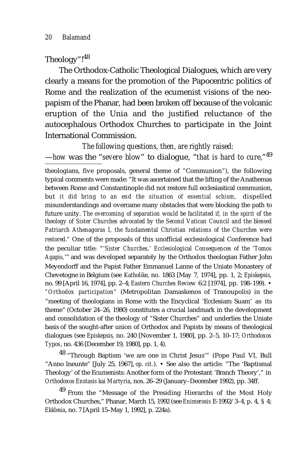# Theology"!48

The Orthodox-Catholic Theological Dialogues, which are very clearly a means for the promotion of the Papocentric politics of Rome and the realization of the ecumenist visions of the neopapism of the Phanar, had been broken off because of the volcanic eruption of the Unia and the justified reluctance of the autocephalous Orthodox Churches to participate in the Joint International Commission.

*The following questions, then, are rightly raised:* —*how* was the "*severe blow*" to dialogue, "*that is hard to cure,*"49

theologians, five proposals, general theme of "Communion"), the following typical comments were made: "It was ascertained that the lifting of the Anathemas between Rome and Constantinople did not restore full ecclesiastical communion, but *it did bring to an end the situation of essential schism,* dispelled misunderstandings and overcame many obstacles that were blocking the path to future unity. *The overcoming of separation would be facilitated if, in the spirit of the theology of Sister Churches advocated by the Second Vatican Council and the blessed Patriarch Athenagoras I, the fundamental Christian relations of the Churches were restored."* One of the proposals of this unofficial ecclesiological Conference had the peculiar title: "*'Sister Churches,' Ecclesiological Consequences of the 'Tomos Agapis,*'" and was developed separately by the Orthodox theologian Father John Meyendorff and the Papist Father Emmanuel Lanne of the Uniate Monastery of Chevetogne in Belgium (see *Katholike*, no. 1863 [May 7, 1974], pp. 1, 2; *Episkepsis*, no. 99 [April 16, 1974], pp. 2–4; *Eastern Churches Review* 6:2 [1974], pp. 198–199). • *"Orthodox participation"* (Metropolitan Damaskenos of Tranoupolis) in the "meeting of theologians in Rome with the Encyclical 'Ecclesiam Suam' as its theme" (October 24–26, 1980) constitutes a crucial landmark in the development and consolidation of the theology of "Sister Churches" and underlies the Uniate basis of the sought-after union of Orthodox and Papists by means of theological dialogues (see *Episkepsis*, no. 240 [November 1, 1980], pp. 2–5, 10–17; *Orthodoxos Typos*, no. 436 [December 19, 1980], pp. 1, 4).

48 "Through Baptism 'we are one in Christ Jesus'" (Pope Paul VI, Bull "Anno Ineunte" [July 25, 1967], *op. cit.*). • See also the article: "The 'Baptismal Theology' of the Ecumenists: Another form of the Protestant 'Branch Theory'," in *Orthodoxos Enstasis kai Martyria*, nos. 26–29 (January–December 1992), pp. 34ff.

49 From the "Message of the Presiding Hierarchs of the Most Holy Orthodox Churches," Phanar, March 15, 1992 (see *Enimerosis* E-1992/3–4, p. 4, § 4; *Ekklesia*, no. 7 [April 15–May 1, 1992], p. 224a).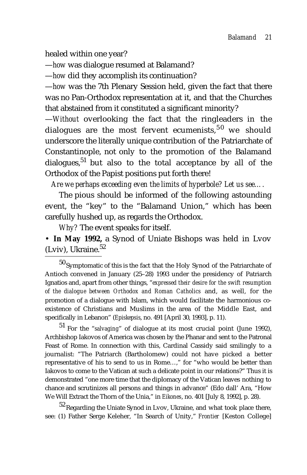healed within one year?

—*how* was dialogue resumed at Balamand?

—*how* did they accomplish its continuation?

—*how* was the 7th Plenary Session held, given the fact that there was no Pan-Orthodox representation at it, and that the Churches that abstained from it constituted a significant minority?

—*Without* overlooking the fact that the ringleaders in the dialogues are the most fervent ecumenists,  $50$  we should underscore the literally unique contribution of the Patriarchate of Constantinople, not only to the promotion of the Balamand  $d$ ialogues,<sup>51</sup> but also to the total acceptance by all of the Orthodox of the Papist positions put forth there!

*Are we perhaps exceeding even the limits of hyperbole? Let us see….*

The pious should be informed of the following astounding event, the "key" to the "Balamand Union," which has been carefully hushed up, as regards the Orthodox.

*Why?* The event speaks for itself.

• **In May 1992,** a Synod of Uniate Bishops was held in Lvov (Lviv), Ukraine. $52$ 

 $50$  Symptomatic of this is the fact that the Holy Synod of the Patriarchate of Antioch convened in January (25–28) 1993 under the presidency of Patriarch Ignatios and, apart from other things, "*expressed their desire for the swift resumption of the dialogue between Orthodox and Roman Catholics* and, as well, for the promotion of a dialogue with Islam, which would facilitate the harmonious coexistence of Christians and Muslims in the area of the Middle East, and specifically in Lebanon" (*Episkepsis*, no. 491 [April 30, 1993], p. 11).

51 For the "*salvaging*" of dialogue at its most crucial point (June 1992), Archbishop Iakovos of America was chosen by the Phanar and sent to the Patronal Feast of Rome. In connection with this, Cardinal Cassidy said smilingly to a journalist: "The Patriarch (Bartholomew) could not have picked a better representative of his to send to us in Rome…," for "who would be better than Iakovos to come to the Vatican at such a delicate point in our relations?" Thus it is demonstrated "one more time that the diplomacy of the Vatican leaves nothing to chance and scrutinizes all persons and things in advance" (Edo dall' Ara, "How We Will Extract the Thorn of the Unia," in *Eikones*, no. 401 [July 8, 1992], p. 28).

52 Regarding the Uniate Synod in Lvov, Ukraine, and what took place there, see: (1) Father Serge Keleher, "In Search of Unity," *Frontier* [Keston College]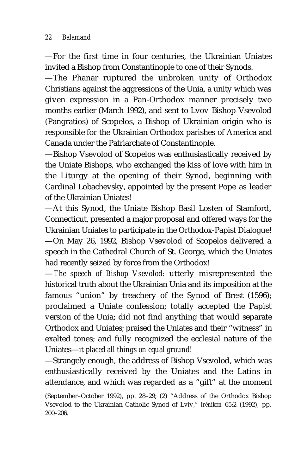—For the first time in four centuries, the Ukrainian Uniates invited a Bishop from Constantinople to one of their Synods.

—The Phanar ruptured the unbroken unity of Orthodox Christians against the aggressions of the Unia, a unity which was given expression in a Pan-Orthodox manner precisely two months earlier (March 1992), and sent to Lvov Bishop Vsevolod (Pangratios) of Scopelos, a Bishop of Ukrainian origin who is responsible for the Ukrainian Orthodox parishes of America and Canada under the Patriarchate of Constantinople.

—Bishop Vsevolod of Scopelos was enthusiastically received by the Uniate Bishops, who exchanged the kiss of love with him in the Liturgy at the opening of their Synod, beginning with Cardinal Lobachevsky, appointed by the present Pope as leader of the Ukrainian Uniates!

—At this Synod, the Uniate Bishop Basil Losten of Stamford, Connecticut, presented a major proposal and offered ways for the Ukrainian Uniates to participate in the Orthodox-Papist Dialogue! —On May 26, 1992, Bishop Vsevolod of Scopelos delivered a speech in the Cathedral Church of St. George, which the Uniates had recently seized by force from the Orthodox!

—*The speech of Bishop Vsevolod:* utterly misrepresented the historical truth about the Ukrainian Unia and its imposition at the famous "union" by treachery of the Synod of Brest (1596); proclaimed a Uniate confession; totally accepted the Papist version of the Unia; did not find anything that would separate Orthodox and Uniates; praised the Uniates and their "witness" in exalted tones; and fully recognized the ecclesial nature of the Uniates—*it placed all things on equal ground!*

—Strangely enough, the address of Bishop Vsevolod, which was enthusiastically received by the Uniates and the Latins in attendance, and which was regarded as a "gift" at the moment

<sup>(</sup>September–October 1992), pp. 28–29; (2) "Address of the Orthodox Bishop Vsevolod to the Ukrainian Catholic Synod of Lviv," *Irénikon* 65:2 (1992), pp. 200–206.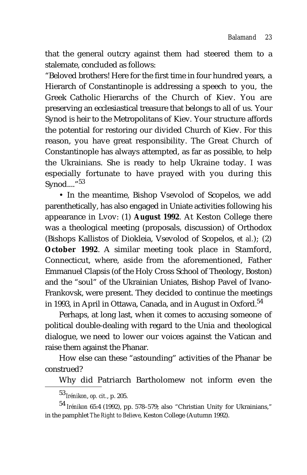that the general outcry against them had steered them to a stalemate, concluded as follows:

"Beloved brothers! Here for the first time in four hundred years, a Hierarch of Constantinople is addressing a speech to you, the Greek Catholic Hierarchs of the Church of Kiev. You are preserving an ecclesiastical treasure that belongs to all of us. Your Synod is heir to the Metropolitans of Kiev. Your structure affords the potential for restoring our divided Church of Kiev. For this reason, you have great responsibility. The Great Church of Constantinople has always attempted, as far as possible, to help the Ukrainians. She is ready to help Ukraine today. I was especially fortunate to have prayed with you during this Synod.... $"^{53}$ 

• In the meantime, Bishop Vsevolod of Scopelos, we add parenthetically, has also engaged in Uniate activities following his appearance in Lvov: (1) **August 1992**. At Keston College there was a theological meeting (proposals, discussion) of Orthodox (Bishops Kallistos of Diokleia, Vsevolod of Scopelos, *et al.*); (2) **October 1992**. A similar meeting took place in Stamford, Connecticut, where, aside from the aforementioned, Father Emmanuel Clapsis (of the Holy Cross School of Theology, Boston) and the "soul" of the Ukrainian Uniates, Bishop Pavel of Ivano-Frankovsk, were present. They decided to continue the meetings in 1993, in April in Ottawa, Canada, and in August in Oxford.<sup>54</sup>

Perhaps, at long last, when it comes to accusing someone of political double-dealing with regard to the Unia and theological dialogue, we need to lower our voices against the Vatican and raise them against the Phanar.

How else can these "astounding" activities of the Phanar be construed?

Why did Patriarch Bartholomew not inform even the

<sup>53</sup>*Irénikon*, *op. cit.*, p. 205.

<sup>54</sup> *Irénikon* 65:4 (1992), pp. 578–579; also "Christian Unity for Ukrainians," in the pamphlet *The Right to Believe*, Keston College (Autumn 1992).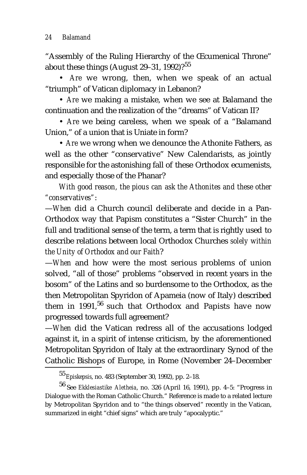"Assembly of the Ruling Hierarchy of the Œcumenical Throne" about these things (August 29-31, 1992)?<sup>55</sup>

• *Are* we wrong, then, when we speak of an actual "triumph" of Vatican diplomacy in Lebanon?

• *Are* we making a mistake, when we see at Balamand the continuation and the realization of the "dreams" of Vatican II?

• *Are* we being careless, when we speak of a "Balamand Union," of a union that is Uniate in form?

• *Are* we wrong when we denounce the Athonite Fathers, as well as the other "conservative" New Calendarists, as jointly responsible for the astonishing fall of these Orthodox ecumenists, and especially those of the Phanar?

*With good reason, the pious can ask the Athonites and these other "conservatives"*:

—*When* did a Church council deliberate and decide in a Pan-Orthodox way that Papism constitutes a "Sister Church" in the full and traditional sense of the term, a term that is rightly used to describe relations between local Orthodox Churches *solely within the Unity of Orthodox and our Faith*?

—*When* and how were the most serious problems of union solved, "all of those" problems "observed in recent years in the bosom" of the Latins and so burdensome to the Orthodox, as the then Metropolitan Spyridon of Apameia (now of Italy) described them in 1991, $56$  such that Orthodox and Papists have now progressed towards full agreement?

—*When* did the Vatican redress all of the accusations lodged against it, in a spirit of intense criticism, by the aforementioned Metropolitan Spyridon of Italy at the extraordinary Synod of the Catholic Bishops of Europe, in Rome (November 24–December

<sup>55</sup>*Episkepsis*, no. 483 (September 30, 1992), pp. 2–18.

<sup>56</sup> See *Ekklesiastike Aletheia*, no. 326 (April 16, 1991), pp. 4–5: "Progress in Dialogue with the Roman Catholic Church." Reference is made to a related lecture by Metropolitan Spyridon and to "the things observed" recently in the Vatican, summarized in eight "chief signs" which are truly "apocalyptic."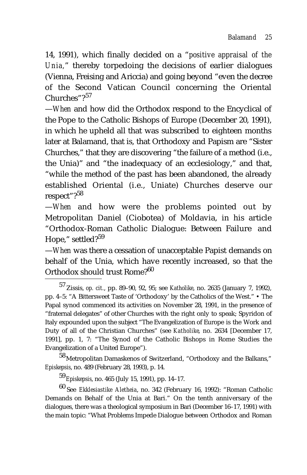14, 1991), which finally decided on a "*positive appraisal of the Unia,*" thereby torpedoing the decisions of earlier dialogues (Vienna, Freising and Ariccia) and going beyond "even the decree of the Second Vatican Council concerning the Oriental Churches"?<sup>57</sup>

—*When* and how did the Orthodox respond to the Encyclical of the Pope to the Catholic Bishops of Europe (December 20, 1991), in which he upheld all that was subscribed to eighteen months later at Balamand, that is, that Orthodoxy and Papism are "Sister Churches," that they are discovering "the failure of a method (i.e., the Unia)" and "the inadequacy of an ecclesiology," and that, "while the method of the past has been abandoned, the already established Oriental (i.e., Uniate) Churches deserve our respect"?<sup>58</sup>

—*When* and how were the problems pointed out by Metropolitan Daniel (Ciobotea) of Moldavia, in his article "Orthodox-Roman Catholic Dialogue: Between Failure and Hope," settled?<sup>59</sup>

—*When* was there a cessation of unacceptable Papist demands on behalf of the Unia, which have recently increased, so that the Orthodox should trust Rome?<sup>60</sup>

58 Metropolitan Damaskenos of Switzerland, "Orthodoxy and the Balkans," *Episkepsis*, no. 489 (February 28, 1993), p. 14.

<sup>59</sup>*Episkepsis*, no. 465 (July 15, 1991), pp. 14–17.

60 See *Ekklesiastike Aletheia*, no. 342 (February 16, 1992): "Roman Catholic Demands on Behalf of the Unia at Bari." On the tenth anniversary of the dialogues, there was a theological symposium in Bari (December 16–17, 1991) with the main topic: "What Problems Impede Dialogue between Orthodox and Roman

<sup>57</sup> Zissis, *op. cit.*, pp. 89–90, 92, 95; see *Katholike*, no. 2635 (January 7, 1992), pp. 4–5: "A Bittersweet Taste of 'Orthodoxy' by the Catholics of the West." • The Papal synod commenced its activities on November 28, 1991, in the presence of "fraternal delegates" of other Churches with the right only to speak; Spyridon of Italy expounded upon the subject "The Evangelization of Europe is the Work and Duty of all of the Christian Churches" (see *Katholike*, no. 2634 [December 17, 1991], pp. 1, 7: "The Synod of the Catholic Bishops in Rome Studies the Evangelization of a United Europe").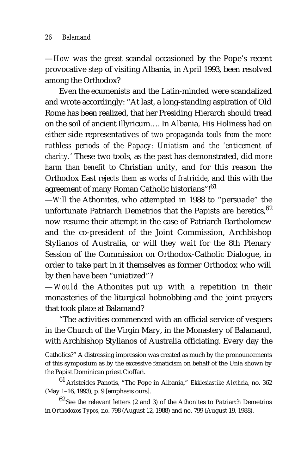—*How* was the great scandal occasioned by the Pope's recent provocative step of visiting Albania, in April 1993, been resolved among the Orthodox?

Even the ecumenists and the Latin-minded were scandalized and wrote accordingly: "At last, a long-standing aspiration of Old Rome has been realized, that her Presiding Hierarch should tread on the soil of ancient Illyricum…. In Albania, His Holiness had on either side representatives of *two propaganda tools from the more ruthless periods of the Papacy: Uniatism and the 'enticement of charity.*' These two tools, as the past has demonstrated, did *more harm than benefit* to Christian unity, and for this reason the Orthodox East *rejects them as works of fratricide*, and this with the agreement of many Roman Catholic historians"!<sup>61</sup>

—*Will* the Athonites, who attempted in 1988 to "persuade" the unfortunate Patriarch Demetrios that the Papists are heretics, 62 now resume their attempt in the case of Patriarch Bartholomew and the co-president of the Joint Commission, Archbishop Stylianos of Australia, or will they wait for the 8th Plenary Session of the Commission on Orthodox-Catholic Dialogue, in order to take part in it themselves as former Orthodox who will by then have been "uniatized"?

—*Would* the Athonites put up with a repetition in their monasteries of the liturgical hobnobbing and the joint prayers that took place at Balamand?

"The activities commenced with an official service of vespers in the Church of the Virgin Mary, in the Monastery of Balamand, with Archbishop Stylianos of Australia officiating. Every day the

Catholics?" A distressing impression was created as much by the pronouncements of this symposium as by the excessive fanaticism on behalf of the Unia shown by the Papist Dominican priest Cioffari.

<sup>61</sup> Aristeides Panotis, "The Pope in Albania," *Ekklesiastike Aletheia*, no. 362 (May 1–16, 1993), p. 9 [emphasis ours].

 $^{62}\rm{See}$  the relevant letters (2 and 3) of the Athonites to Patriarch Demetrios in *Orthodoxos Typos*, no. 798 (August 12, 1988) and no. 799 (August 19, 1988).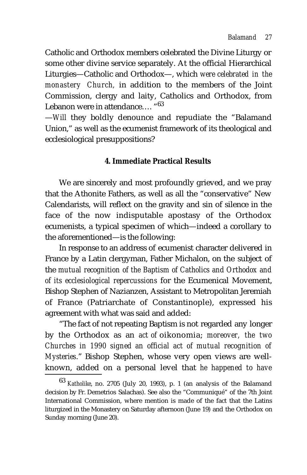Catholic and Orthodox members celebrated the Divine Liturgy or some other divine service separately. At the official Hierarchical Liturgies—Catholic and Orthodox—, which *were celebrated in the monastery Church,* in addition to the members of the Joint Commission, clergy and laity, Catholics and Orthodox, from Lebanon were in attendance.... "63

—*Will* they boldly denounce and repudiate the "Balamand Union," as well as the ecumenist framework of its theological and ecclesiological presuppositions?

# **4. Immediate Practical Results**

We are sincerely and most profoundly grieved, and we pray that the Athonite Fathers, as well as all the "conservative" New Calendarists, will reflect on the gravity and sin of silence in the face of the now indisputable apostasy of the Orthodox ecumenists, a typical specimen of which—indeed a corollary to the aforementioned—is the following:

In response to an address of ecumenist character delivered in France by a Latin clergyman, Father Michalon, on the subject of the *mutual recognition of the Baptism of Catholics and Orthodox and of its ecclesiological repercussions* for the Ecumenical Movement, Bishop Stephen of Nazianzen, Assistant to Metropolitan Jeremiah of France (Patriarchate of Constantinople), expressed his agreement with what was said and added:

"The fact of not repeating Baptism is not regarded any longer by the Orthodox as an *act of* oikonomia; *moreover, the two Churches in 1990 signed an official act of mutual recognition of Mysteries*." Bishop Stephen, whose very open views are wellknown, added on a personal level that *he happened to have*

<sup>63</sup> *Katholike*, no. 2705 (July 20, 1993), p. 1 (an analysis of the Balamand decision by Fr. Demetrios Salachas). See also the "Communiqué" of the 7th Joint International Commission, where mention is made of the fact that the Latins liturgized in the Monastery on Saturday afternoon (June 19) and the Orthodox on Sunday morning (June 20).